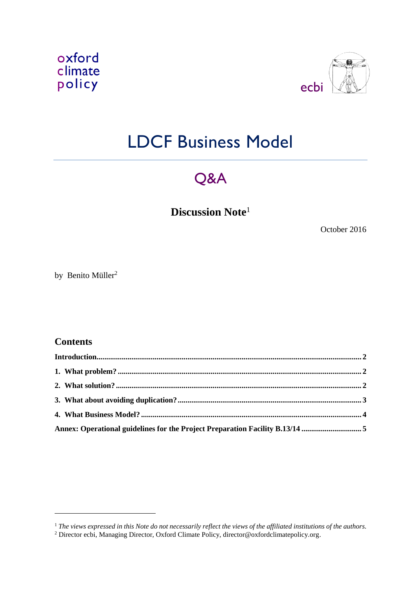



# LDCF Business Model

## Q&A

**Discussion Note**<sup>1</sup>

October 2016

by Benito Müller<sup>2</sup>

### **Contents**

<span id="page-0-0"></span>-

| Introduction 2                                                               |  |
|------------------------------------------------------------------------------|--|
|                                                                              |  |
|                                                                              |  |
|                                                                              |  |
|                                                                              |  |
| Annex: Operational guidelines for the Project Preparation Facility B.13/14 5 |  |

<sup>1</sup> *The views expressed in this Note do not necessarily reflect the views of the affiliated institutions of the authors.*

<sup>&</sup>lt;sup>2</sup> Director ecbi, Managing Director, Oxford Climate Policy, director@oxfordclimatepolicy.org.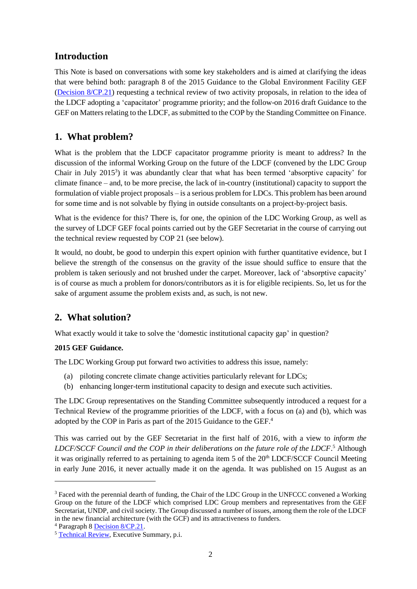## **Introduction**

This Note is based on conversations with some key stakeholders and is aimed at clarifying the ideas that were behind both: paragraph 8 of the 2015 Guidance to the Global Environment Facility GEF [\(Decision 8/CP.21\)](http://unfccc.int/resource/docs/2015/cop21/eng/10a02.pdf#page=13) requesting a technical review of two activity proposals, in relation to the idea of the LDCF adopting a 'capacitator' programme priority; and the follow-on 2016 draft Guidance to the GEF on Matters relating to the LDCF, as submitted to the COP by the Standing Committee on Finance.

## <span id="page-1-0"></span>**1. What problem?**

What is the problem that the LDCF capacitator programme priority is meant to address? In the discussion of the informal Working Group on the future of the LDCF (convened by the LDC Group Chair in July 2015<sup>3</sup>) it was abundantly clear that what has been termed 'absorptive capacity' for climate finance – and, to be more precise, the lack of in-country (institutional) capacity to support the formulation of viable project proposals – is a serious problem for LDCs. This problem has been around for some time and is not solvable by flying in outside consultants on a project-by-project basis.

What is the evidence for this? There is, for one, the opinion of the LDC Working Group, as well as the survey of LDCF GEF focal points carried out by the GEF Secretariat in the course of carrying out the technical review requested by COP 21 (see below).

It would, no doubt, be good to underpin this expert opinion with further quantitative evidence, but I believe the strength of the consensus on the gravity of the issue should suffice to ensure that the problem is taken seriously and not brushed under the carpet. Moreover, lack of 'absorptive capacity' is of course as much a problem for donors/contributors as it is for eligible recipients. So, let us for the sake of argument assume the problem exists and, as such, is not new.

## <span id="page-1-1"></span>**2. What solution?**

What exactly would it take to solve the 'domestic institutional capacity gap' in question?

#### **2015 GEF Guidance.**

The LDC Working Group put forward two activities to address this issue, namely:

- (a) piloting concrete climate change activities particularly relevant for LDCs;
- (b) enhancing longer-term institutional capacity to design and execute such activities.

The LDC Group representatives on the Standing Committee subsequently introduced a request for a Technical Review of the programme priorities of the LDCF, with a focus on (a) and (b), which was adopted by the COP in Paris as part of the 2015 Guidance to the GEF. 4

This was carried out by the GEF Secretariat in the first half of 2016, with a view to *inform the LDCF/SCCF Council and the COP in their deliberations on the future role of the LDCF*. <sup>5</sup> Although it was originally referred to as pertaining to agenda item 5 of the 20<sup>th</sup> LDCF/SCCF Council Meeting in early June 2016, it never actually made it on the agenda. It was published on 15 August as an

1

<sup>&</sup>lt;sup>3</sup> Faced with the perennial dearth of funding, the Chair of the LDC Group in the UNFCCC convened a Working Group on the future of the LDCF which comprised LDC Group members and representatives from the GEF Secretariat, UNDP, and civil society. The Group discussed a number of issues, among them the role of the LDCF in the new financial architecture (with the GCF) and its attractiveness to funders.

<sup>4</sup> Paragraph 8 [Decision 8/CP.21.](http://unfccc.int/resource/docs/2015/cop21/eng/10a02.pdf#page=13)

<sup>5</sup> [Technical Review,](http://www.thegef.org/sites/default/files/documents/Technical%20Review%20of%20the%20Program%20Priorities%20of%20the%20LDCF.pdf) Executive Summary, p.i.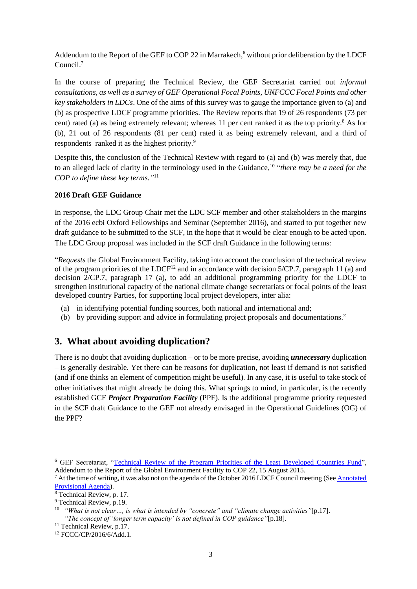Addendum to the Report of the GEF to COP 22 in Marrakech,<sup>6</sup> without prior deliberation by the LDCF Council.<sup>7</sup>

In the course of preparing the Technical Review, the GEF Secretariat carried out *informal consultations, as well as a survey of GEF Operational Focal Points, UNFCCC Focal Points and other key stakeholders in LDCs*. One of the aims of this survey was to gauge the importance given to (a) and (b) as prospective LDCF programme priorities. The Review reports that 19 of 26 respondents (73 per cent) rated (a) as being extremely relevant; whereas 11 per cent ranked it as the top priority.<sup>8</sup> As for (b), 21 out of 26 respondents (81 per cent) rated it as being extremely relevant, and a third of respondents ranked it as the highest priority.<sup>9</sup>

Despite this, the conclusion of the Technical Review with regard to (a) and (b) was merely that, due to an alleged lack of clarity in the terminology used in the Guidance, 10 "*there may be a need for the COP to define these key terms."* 11

#### **2016 Draft GEF Guidance**

In response, the LDC Group Chair met the LDC SCF member and other stakeholders in the margins of the 2016 ecbi Oxford Fellowships and Seminar (September 2016), and started to put together new draft guidance to be submitted to the SCF, in the hope that it would be clear enough to be acted upon. The LDC Group proposal was included in the SCF draft Guidance in the following terms:

"*Requests* the Global Environment Facility, taking into account the conclusion of the technical review of the program priorities of the LDCF<sup>12</sup> and in accordance with decision  $5/CP.7$ , paragraph 11 (a) and decision 2/CP.7, paragraph 17 (a), to add an additional programming priority for the LDCF to strengthen institutional capacity of the national climate change secretariats or focal points of the least developed country Parties, for supporting local project developers, inter alia:

- (a) in identifying potential funding sources, both national and international and;
- (b) by providing support and advice in formulating project proposals and documentations."

## <span id="page-2-0"></span>**3. What about avoiding duplication?**

There is no doubt that avoiding duplication – or to be more precise, avoiding *unnecessary* duplication – is generally desirable. Yet there can be reasons for duplication, not least if demand is not satisfied (and if one thinks an element of competition might be useful). In any case, it is useful to take stock of other initiatives that might already be doing this. What springs to mind, in particular, is the recently established GCF *Project Preparation Facility* (PPF). Is the additional programme priority requested in the SCF draft Guidance to the GEF not already envisaged in the Operational Guidelines (OG) of the PPF?

1

<sup>6</sup> GEF Secretariat, ["Technical Review of the Program Priorities of the Least Developed Countries Fund"](http://www.thegef.org/sites/default/files/documents/Technical%20Review%20of%20the%20Program%20Priorities%20of%20the%20LDCF.pdf), Addendum to the Report of the Global Environment Facility to COP 22, 15 August 2015.

 $^7$  At the time of writing, it was also not on the agenda of the October 2016 LDCF Council meeting (See Annotated [Provisional Agenda\)](http://www.thegef.org/sites/default/files/council-meeting-documents/EN_GEF.LDCF_.SCCF_.21.02_Annotated_Provisional_Agenda.pdf).

<sup>&</sup>lt;sup>8</sup> Technical Review, p. 17.

<sup>&</sup>lt;sup>9</sup> Technical Review, p.19.

<sup>10</sup> *"What is not clear…, is what is intended by "concrete" and "climate change activities"*[p.17]. *"The concept of 'longer term capacity' is not defined in COP guidance"*[p.18].

<sup>&</sup>lt;sup>11</sup> Technical Review, p.17.

<sup>12</sup> FCCC/CP/2016/6/Add.1.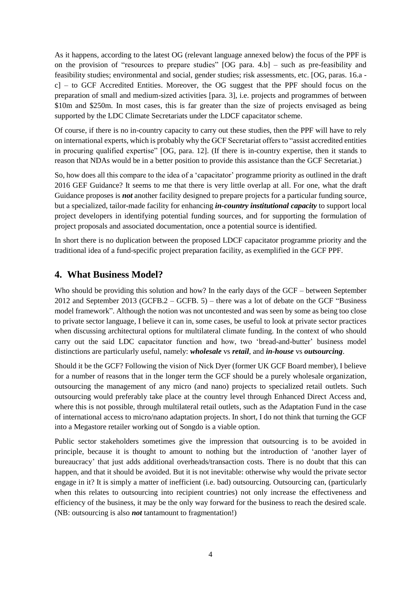As it happens, according to the latest OG (relevant language annexed below) the focus of the PPF is on the provision of "resources to prepare studies" [OG para. 4.b] – such as pre-feasibility and feasibility studies; environmental and social, gender studies; risk assessments, etc. [OG, paras. 16.a c] – to GCF Accredited Entities. Moreover, the OG suggest that the PPF should focus on the preparation of small and medium-sized activities [para. 3], i.e. projects and programmes of between \$10m and \$250m. In most cases, this is far greater than the size of projects envisaged as being supported by the LDC Climate Secretariats under the LDCF capacitator scheme.

Of course, if there is no in-country capacity to carry out these studies, then the PPF will have to rely on international experts, which is probably why the GCF Secretariat offers to "assist accredited entities in procuring qualified expertise" [OG, para. 12]. (If there is in-country expertise, then it stands to reason that NDAs would be in a better position to provide this assistance than the GCF Secretariat.)

So, how does all this compare to the idea of a 'capacitator' programme priority as outlined in the draft 2016 GEF Guidance? It seems to me that there is very little overlap at all. For one, what the draft Guidance proposes is *not* another facility designed to prepare projects for a particular funding source, but a specialized, tailor-made facility for enhancing *in-country institutional capacity* to support local project developers in identifying potential funding sources, and for supporting the formulation of project proposals and associated documentation, once a potential source is identified.

In short there is no duplication between the proposed LDCF capacitator programme priority and the traditional idea of a fund-specific project preparation facility, as exemplified in the GCF PPF.

### <span id="page-3-0"></span>**4. What Business Model?**

Who should be providing this solution and how? In the early days of the GCF – between September 2012 and September 2013 (GCFB.2 – GCFB. 5) – there was a lot of debate on the GCF "Business model framework". Although the notion was not uncontested and was seen by some as being too close to private sector language, I believe it can in, some cases, be useful to look at private sector practices when discussing architectural options for multilateral climate funding. In the context of who should carry out the said LDC capacitator function and how, two 'bread-and-butter' business model distinctions are particularly useful, namely: *wholesale* vs *retail*, and *in-house* vs *outsourcing*.

Should it be the GCF? Following the vision of Nick Dyer (former UK GCF Board member), I believe for a number of reasons that in the longer term the GCF should be a purely wholesale organization, outsourcing the management of any micro (and nano) projects to specialized retail outlets. Such outsourcing would preferably take place at the country level through Enhanced Direct Access and, where this is not possible, through multilateral retail outlets, such as the Adaptation Fund in the case of international access to micro/nano adaptation projects. In short, I do not think that turning the GCF into a Megastore retailer working out of Songdo is a viable option.

Public sector stakeholders sometimes give the impression that outsourcing is to be avoided in principle, because it is thought to amount to nothing but the introduction of 'another layer of bureaucracy' that just adds additional overheads/transaction costs. There is no doubt that this can happen, and that it should be avoided. But it is not inevitable: otherwise why would the private sector engage in it? It is simply a matter of inefficient (i.e. bad) outsourcing. Outsourcing can, (particularly when this relates to outsourcing into recipient countries) not only increase the effectiveness and efficiency of the business, it may be the only way forward for the business to reach the desired scale. (NB: outsourcing is also *not* tantamount to fragmentation!)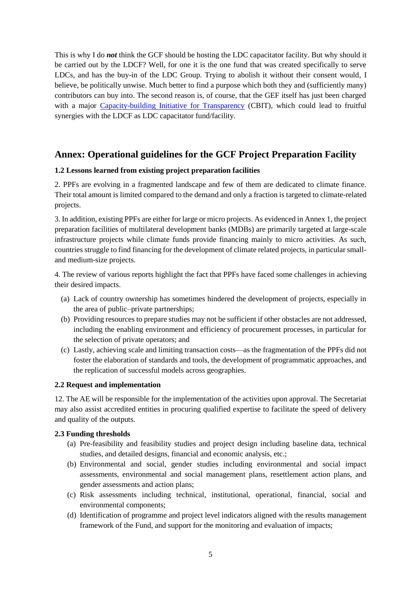This is why I do *not* think the GCF should be hosting the LDC capacitator facility. But why should it be carried out by the LDCF? Well, for one it is the one fund that was created specifically to serve LDCs, and has the buy-in of the LDC Group. Trying to abolish it without their consent would, I believe, be politically unwise. Much better to find a purpose which both they and (sufficiently many) contributors can buy into. The second reason is, of course, that the GEF itself has just been charged with a major [Capacity-building Initiative for Transparency](https://www.thegef.org/gef/CC/capacity-building-initiative-for-transparency) (CBIT), which could lead to fruitful synergies with the LDCF as LDC capacitator fund/facility.

## <span id="page-4-0"></span>**Annex: Operational guidelines for the GCF Project Preparation Facility**

#### **1.2 Lessons learned from existing project preparation facilities**

2. PPFs are evolving in a fragmented landscape and few of them are dedicated to climate finance. Their total amount is limited compared to the demand and only a fraction is targeted to climate-related projects.

3. In addition, existing PPFs are either for large or micro projects. As evidenced in Annex 1, the project preparation facilities of multilateral development banks (MDBs) are primarily targeted at large-scale infrastructure projects while climate funds provide financing mainly to micro activities. As such, countries struggle to find financing for the development of climate related projects, in particular smalland medium-size projects.

4. The review of various reports highlight the fact that PPFs have faced some challenges in achieving their desired impacts.

- (a) Lack of country ownership has sometimes hindered the development of projects, especially in the area of public–private partnerships;
- (b) Providing resources to prepare studies may not be sufficient if other obstacles are not addressed, including the enabling environment and efficiency of procurement processes, in particular for the selection of private operators; and
- (c) Lastly, achieving scale and limiting transaction costs—as the fragmentation of the PPFs did not foster the elaboration of standards and tools, the development of programmatic approaches, and the replication of successful models across geographies.

#### **2.2 Request and implementation**

12. The AE will be responsible for the implementation of the activities upon approval. The Secretariat may also assist accredited entities in procuring qualified expertise to facilitate the speed of delivery and quality of the outputs.

#### **2.3 Funding thresholds**

- (a) Pre-feasibility and feasibility studies and project design including baseline data, technical studies, and detailed designs, financial and economic analysis, etc.;
- (b) Environmental and social, gender studies including environmental and social impact assessments, environmental and social management plans, resettlement action plans, and gender assessments and action plans;
- (c) Risk assessments including technical, institutional, operational, financial, social and environmental components;
- (d) Identification of programme and project level indicators aligned with the results management framework of the Fund, and support for the monitoring and evaluation of impacts;